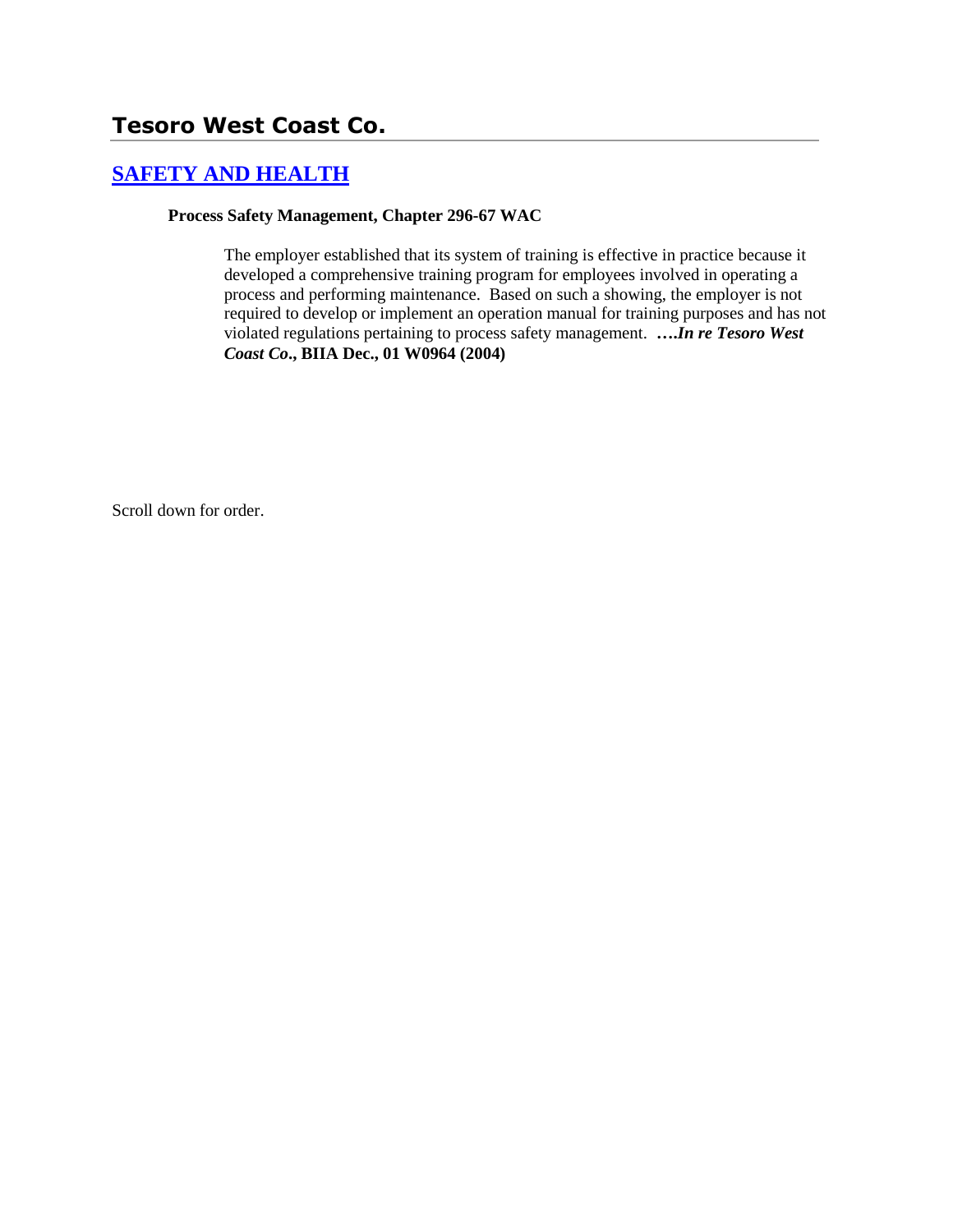# **Tesoro West Coast Co.**

## **[SAFETY AND HEALTH](http://www.biia.wa.gov/SDSubjectIndex.html#SAFETY_AND_HEALTH)**

#### **Process Safety Management, Chapter 296-67 WAC**

The employer established that its system of training is effective in practice because it developed a comprehensive training program for employees involved in operating a process and performing maintenance. Based on such a showing, the employer is not required to develop or implement an operation manual for training purposes and has not violated regulations pertaining to process safety management. **….***In re Tesoro West Coast Co***., BIIA Dec., 01 W0964 (2004)** 

Scroll down for order.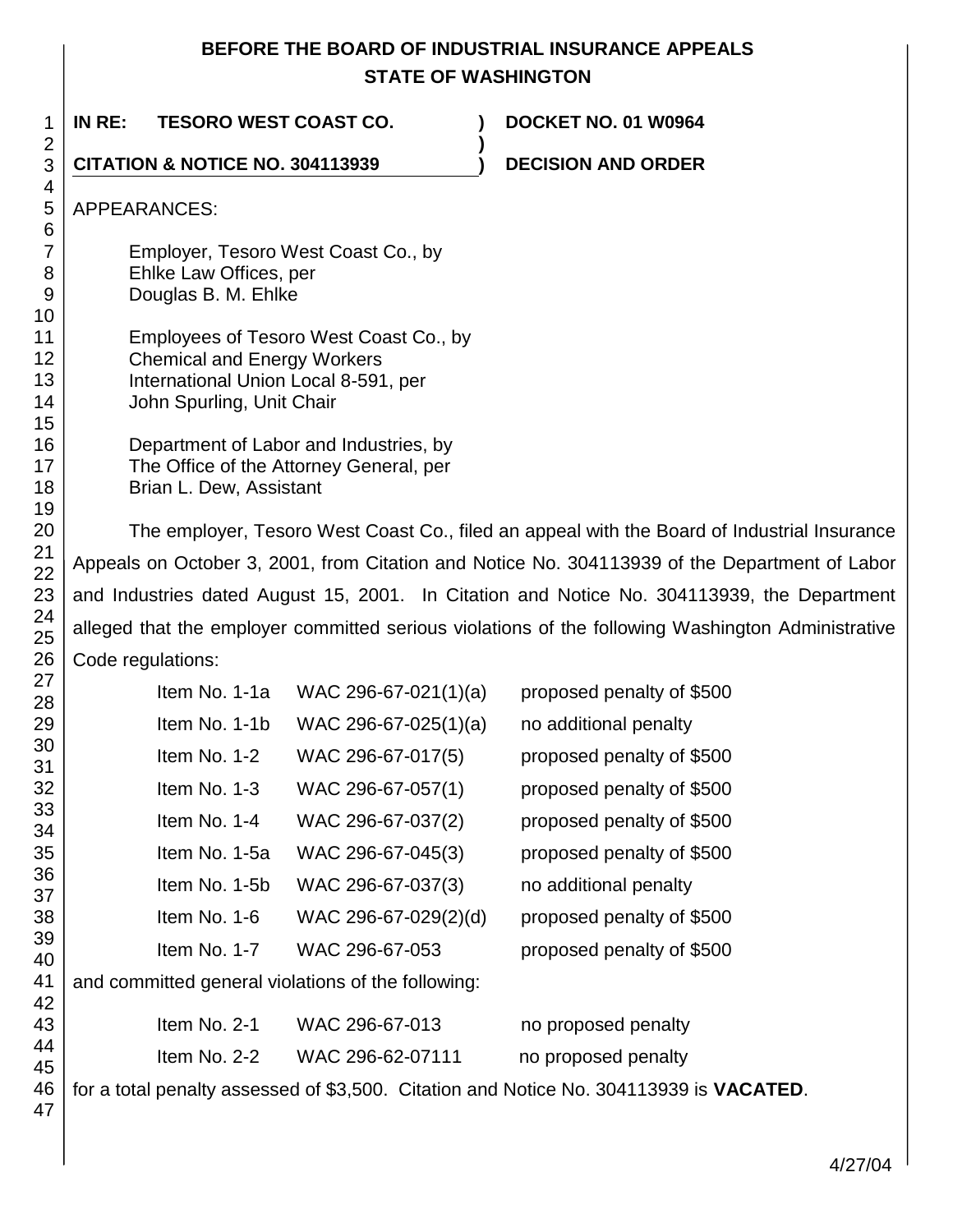### **BEFORE THE BOARD OF INDUSTRIAL INSURANCE APPEALS STATE OF WASHINGTON**

1 2 3 4 5 6 7 8 9 10 11 12 13 14 15 16 17 18 19 20 21 22 23 24 25 26 27 28 29 30 31 32 33 34 35 36 37 38 39 40 41 42 43 44 45 46 47 **IN RE: TESORO WEST COAST CO. ) DOCKET NO. 01 W0964 ) CITATION & NOTICE NO. 304113939 ) DECISION AND ORDER** APPEARANCES: Employer, Tesoro West Coast Co., by Ehlke Law Offices, per Douglas B. M. Ehlke Employees of Tesoro West Coast Co., by Chemical and Energy Workers International Union Local 8-591, per John Spurling, Unit Chair Department of Labor and Industries, by The Office of the Attorney General, per Brian L. Dew, Assistant The employer, Tesoro West Coast Co., filed an appeal with the Board of Industrial Insurance Appeals on October 3, 2001, from Citation and Notice No. 304113939 of the Department of Labor and Industries dated August 15, 2001. In Citation and Notice No. 304113939, the Department alleged that the employer committed serious violations of the following Washington Administrative Code regulations: Item No. 1-1a WAC 296-67-021(1)(a) proposed penalty of  $$500$ Item No. 1-1b WAC 296-67-025(1)(a) no additional penalty Item No.  $1-2$  WAC 296-67-017(5) proposed penalty of \$500 Item No.  $1-3$  WAC 296-67-057(1) proposed penalty of \$500 Item No.  $1-4$  WAC 296-67-037(2) proposed penalty of \$500 Item No.  $1-5a$  WAC 296-67-045(3) proposed penalty of \$500 Item No. 1-5b WAC 296-67-037(3) no additional penalty Item No. 1-6 WAC 296-67-029(2)(d) proposed penalty of \$500 Item No. 1-7 WAC 296-67-053 proposed penalty of \$500 and committed general violations of the following: Item No. 2-1 WAC 296-67-013 no proposed penalty Item No. 2-2 WAC 296-62-07111 no proposed penalty for a total penalty assessed of \$3,500. Citation and Notice No. 304113939 is **VACATED**.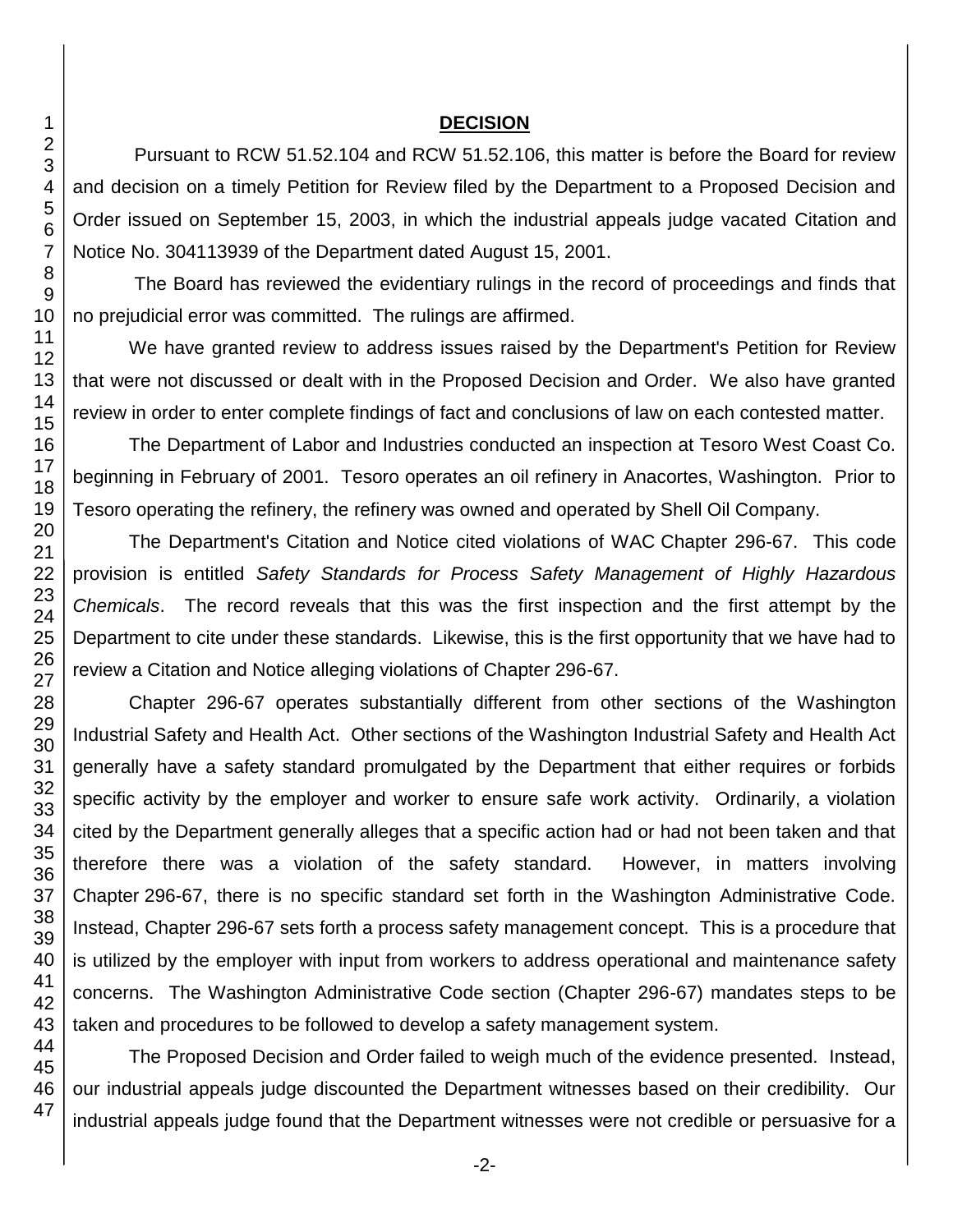### **DECISION**

Pursuant to RCW 51.52.104 and RCW 51.52.106, this matter is before the Board for review and decision on a timely Petition for Review filed by the Department to a Proposed Decision and Order issued on September 15, 2003, in which the industrial appeals judge vacated Citation and Notice No. 304113939 of the Department dated August 15, 2001.

The Board has reviewed the evidentiary rulings in the record of proceedings and finds that no prejudicial error was committed. The rulings are affirmed.

We have granted review to address issues raised by the Department's Petition for Review that were not discussed or dealt with in the Proposed Decision and Order. We also have granted review in order to enter complete findings of fact and conclusions of law on each contested matter.

The Department of Labor and Industries conducted an inspection at Tesoro West Coast Co. beginning in February of 2001. Tesoro operates an oil refinery in Anacortes, Washington. Prior to Tesoro operating the refinery, the refinery was owned and operated by Shell Oil Company.

The Department's Citation and Notice cited violations of WAC Chapter 296-67. This code provision is entitled *Safety Standards for Process Safety Management of Highly Hazardous Chemicals*. The record reveals that this was the first inspection and the first attempt by the Department to cite under these standards. Likewise, this is the first opportunity that we have had to review a Citation and Notice alleging violations of Chapter 296-67.

Chapter 296-67 operates substantially different from other sections of the Washington Industrial Safety and Health Act. Other sections of the Washington Industrial Safety and Health Act generally have a safety standard promulgated by the Department that either requires or forbids specific activity by the employer and worker to ensure safe work activity. Ordinarily, a violation cited by the Department generally alleges that a specific action had or had not been taken and that therefore there was a violation of the safety standard. However, in matters involving Chapter 296-67, there is no specific standard set forth in the Washington Administrative Code. Instead, Chapter 296-67 sets forth a process safety management concept. This is a procedure that is utilized by the employer with input from workers to address operational and maintenance safety concerns. The Washington Administrative Code section (Chapter 296-67) mandates steps to be taken and procedures to be followed to develop a safety management system.

The Proposed Decision and Order failed to weigh much of the evidence presented. Instead, our industrial appeals judge discounted the Department witnesses based on their credibility. Our industrial appeals judge found that the Department witnesses were not credible or persuasive for a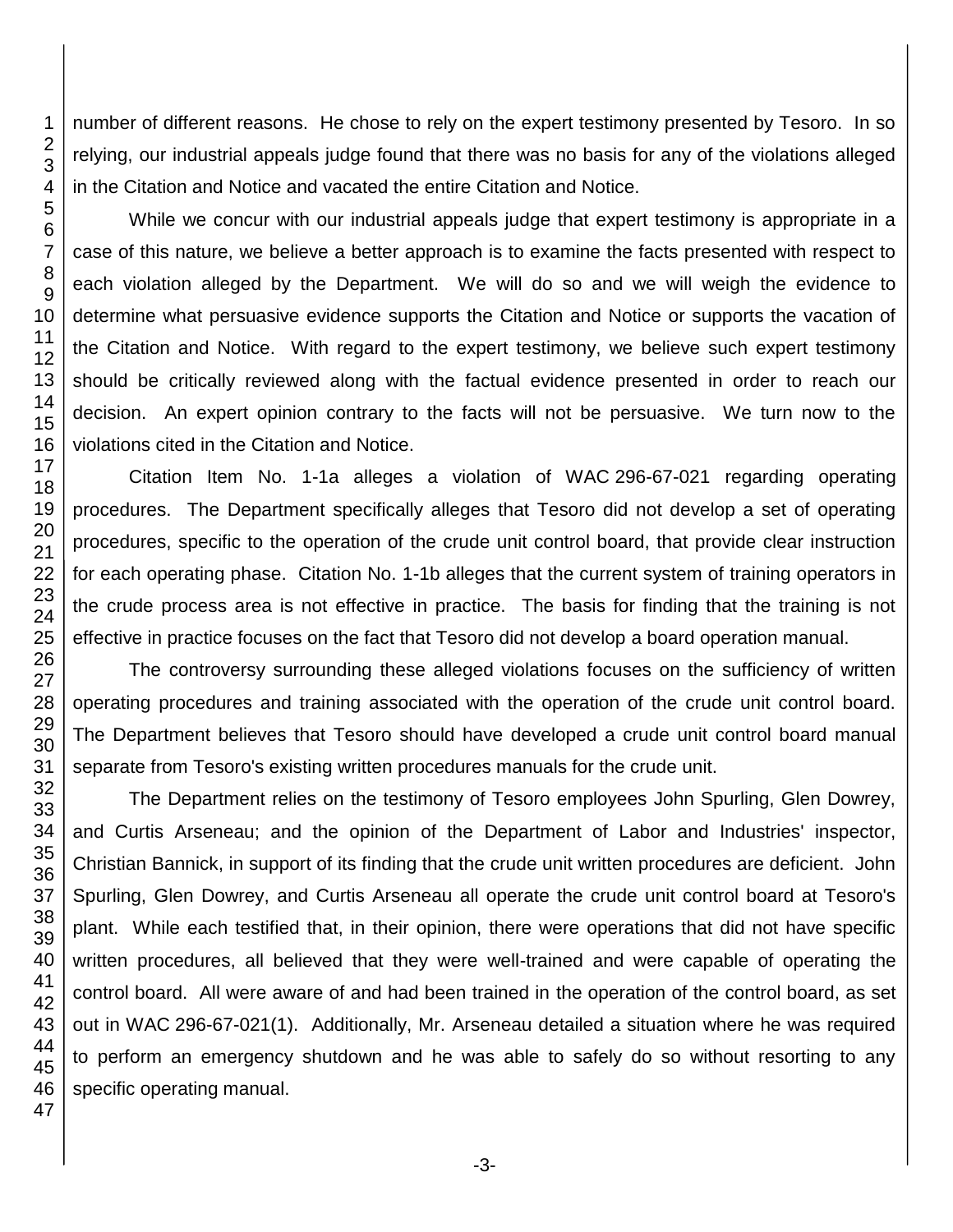number of different reasons. He chose to rely on the expert testimony presented by Tesoro. In so relying, our industrial appeals judge found that there was no basis for any of the violations alleged in the Citation and Notice and vacated the entire Citation and Notice.

While we concur with our industrial appeals judge that expert testimony is appropriate in a case of this nature, we believe a better approach is to examine the facts presented with respect to each violation alleged by the Department. We will do so and we will weigh the evidence to determine what persuasive evidence supports the Citation and Notice or supports the vacation of the Citation and Notice. With regard to the expert testimony, we believe such expert testimony should be critically reviewed along with the factual evidence presented in order to reach our decision. An expert opinion contrary to the facts will not be persuasive. We turn now to the violations cited in the Citation and Notice.

Citation Item No. 1-1a alleges a violation of WAC 296-67-021 regarding operating procedures. The Department specifically alleges that Tesoro did not develop a set of operating procedures, specific to the operation of the crude unit control board, that provide clear instruction for each operating phase. Citation No. 1-1b alleges that the current system of training operators in the crude process area is not effective in practice. The basis for finding that the training is not effective in practice focuses on the fact that Tesoro did not develop a board operation manual.

The controversy surrounding these alleged violations focuses on the sufficiency of written operating procedures and training associated with the operation of the crude unit control board. The Department believes that Tesoro should have developed a crude unit control board manual separate from Tesoro's existing written procedures manuals for the crude unit.

The Department relies on the testimony of Tesoro employees John Spurling, Glen Dowrey, and Curtis Arseneau; and the opinion of the Department of Labor and Industries' inspector, Christian Bannick, in support of its finding that the crude unit written procedures are deficient. John Spurling, Glen Dowrey, and Curtis Arseneau all operate the crude unit control board at Tesoro's plant. While each testified that, in their opinion, there were operations that did not have specific written procedures, all believed that they were well-trained and were capable of operating the control board. All were aware of and had been trained in the operation of the control board, as set out in WAC 296-67-021(1). Additionally, Mr. Arseneau detailed a situation where he was required to perform an emergency shutdown and he was able to safely do so without resorting to any specific operating manual.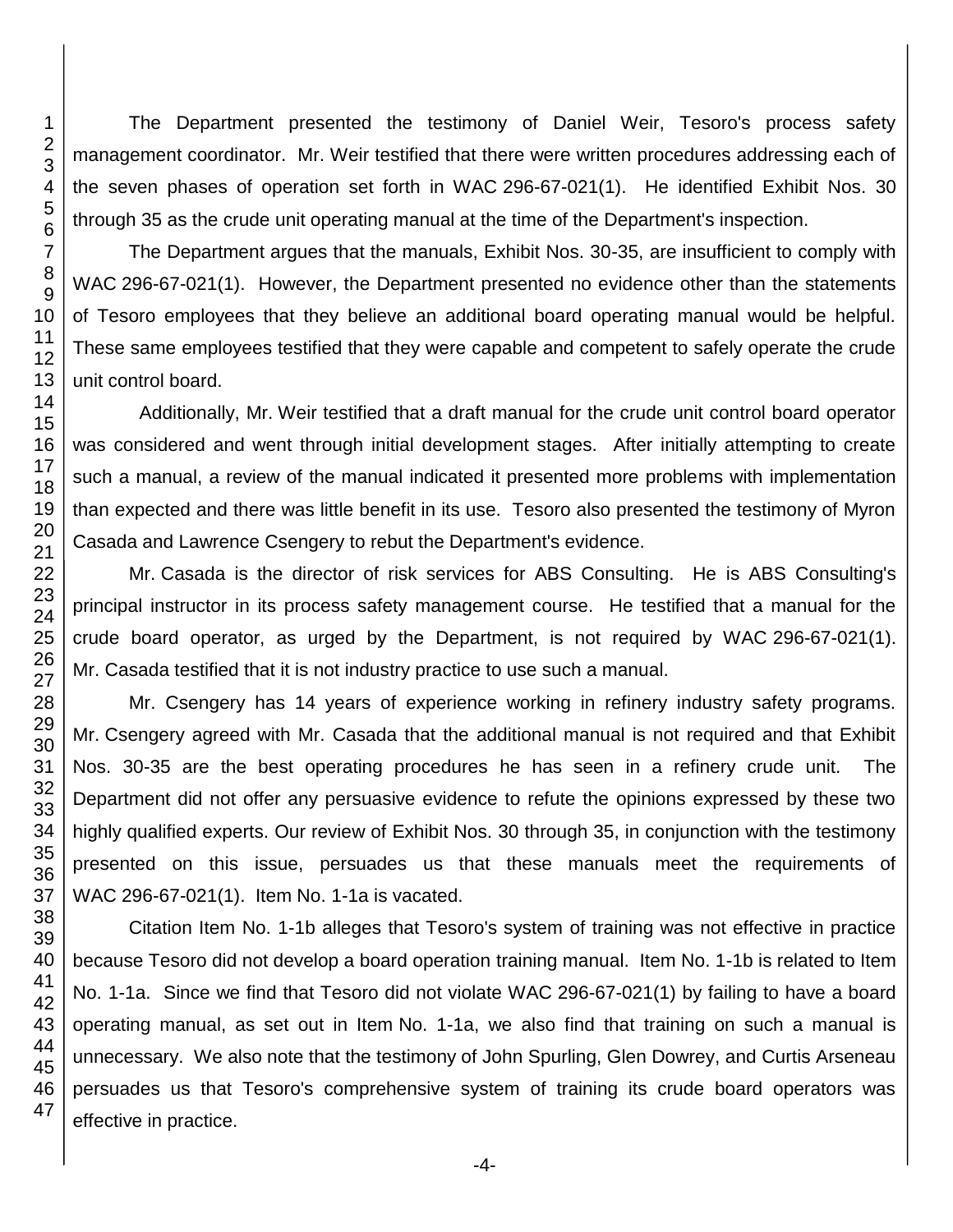The Department presented the testimony of Daniel Weir, Tesoro's process safety management coordinator. Mr. Weir testified that there were written procedures addressing each of the seven phases of operation set forth in WAC 296-67-021(1). He identified Exhibit Nos. 30 through 35 as the crude unit operating manual at the time of the Department's inspection.

The Department argues that the manuals, Exhibit Nos. 30-35, are insufficient to comply with WAC 296-67-021(1). However, the Department presented no evidence other than the statements of Tesoro employees that they believe an additional board operating manual would be helpful. These same employees testified that they were capable and competent to safely operate the crude unit control board.

 Additionally, Mr. Weir testified that a draft manual for the crude unit control board operator was considered and went through initial development stages. After initially attempting to create such a manual, a review of the manual indicated it presented more problems with implementation than expected and there was little benefit in its use. Tesoro also presented the testimony of Myron Casada and Lawrence Csengery to rebut the Department's evidence.

Mr. Casada is the director of risk services for ABS Consulting. He is ABS Consulting's principal instructor in its process safety management course. He testified that a manual for the crude board operator, as urged by the Department, is not required by WAC 296-67-021(1). Mr. Casada testified that it is not industry practice to use such a manual.

Mr. Csengery has 14 years of experience working in refinery industry safety programs. Mr. Csengery agreed with Mr. Casada that the additional manual is not required and that Exhibit Nos. 30-35 are the best operating procedures he has seen in a refinery crude unit. The Department did not offer any persuasive evidence to refute the opinions expressed by these two highly qualified experts. Our review of Exhibit Nos. 30 through 35, in conjunction with the testimony presented on this issue, persuades us that these manuals meet the requirements of WAC 296-67-021(1). Item No. 1-1a is vacated.

Citation Item No. 1-1b alleges that Tesoro's system of training was not effective in practice because Tesoro did not develop a board operation training manual. Item No. 1-1b is related to Item No. 1-1a. Since we find that Tesoro did not violate WAC 296-67-021(1) by failing to have a board operating manual, as set out in Item No. 1-1a, we also find that training on such a manual is unnecessary. We also note that the testimony of John Spurling, Glen Dowrey, and Curtis Arseneau persuades us that Tesoro's comprehensive system of training its crude board operators was effective in practice.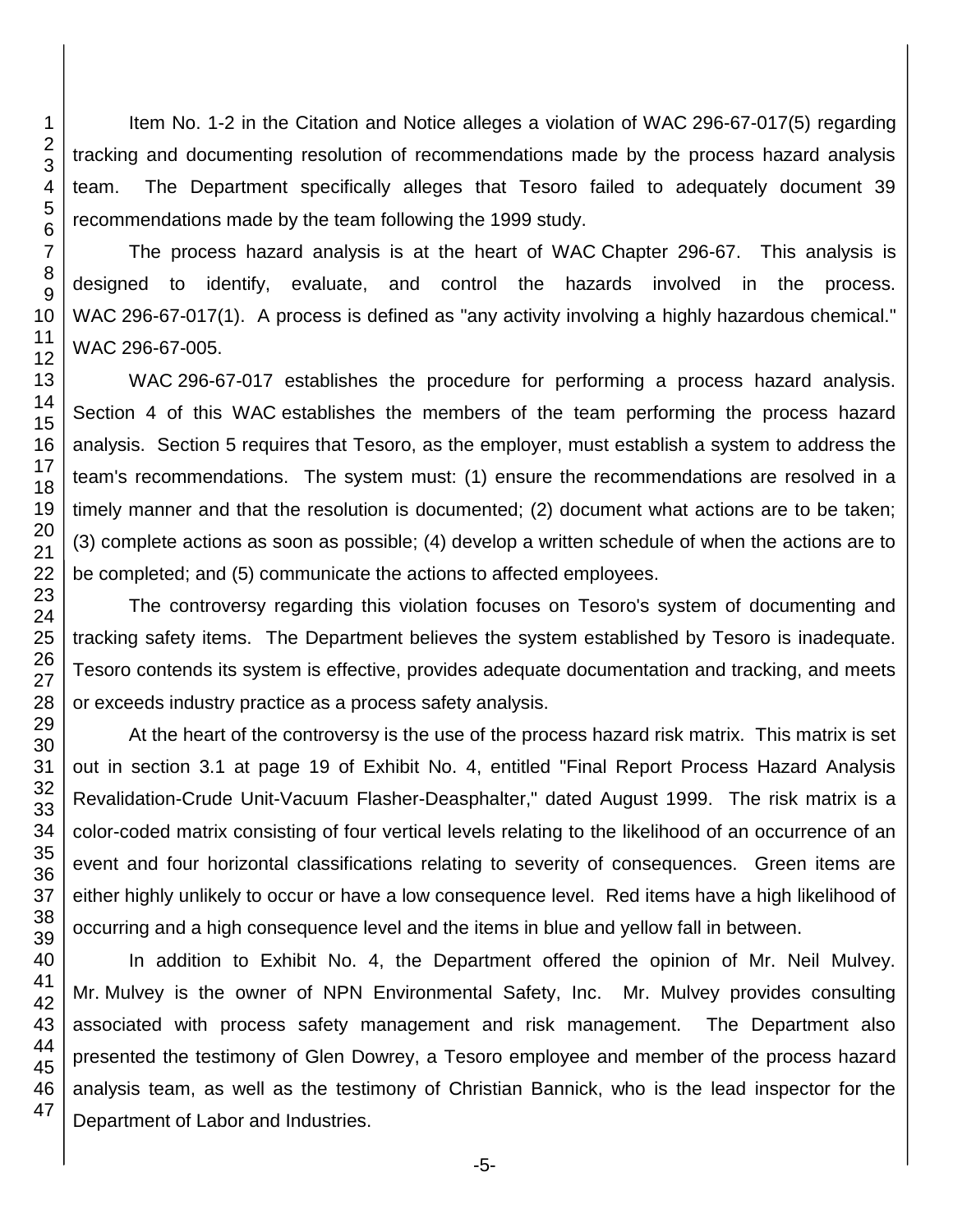Item No. 1-2 in the Citation and Notice alleges a violation of WAC 296-67-017(5) regarding tracking and documenting resolution of recommendations made by the process hazard analysis team. The Department specifically alleges that Tesoro failed to adequately document 39 recommendations made by the team following the 1999 study.

The process hazard analysis is at the heart of WAC Chapter 296-67. This analysis is designed to identify, evaluate, and control the hazards involved in the process. WAC 296-67-017(1). A process is defined as "any activity involving a highly hazardous chemical." WAC 296-67-005.

WAC 296-67-017 establishes the procedure for performing a process hazard analysis. Section 4 of this WAC establishes the members of the team performing the process hazard analysis. Section 5 requires that Tesoro, as the employer, must establish a system to address the team's recommendations. The system must: (1) ensure the recommendations are resolved in a timely manner and that the resolution is documented; (2) document what actions are to be taken; (3) complete actions as soon as possible; (4) develop a written schedule of when the actions are to be completed; and (5) communicate the actions to affected employees.

The controversy regarding this violation focuses on Tesoro's system of documenting and tracking safety items. The Department believes the system established by Tesoro is inadequate. Tesoro contends its system is effective, provides adequate documentation and tracking, and meets or exceeds industry practice as a process safety analysis.

At the heart of the controversy is the use of the process hazard risk matrix. This matrix is set out in section 3.1 at page 19 of Exhibit No. 4, entitled "Final Report Process Hazard Analysis Revalidation-Crude Unit-Vacuum Flasher-Deasphalter," dated August 1999. The risk matrix is a color-coded matrix consisting of four vertical levels relating to the likelihood of an occurrence of an event and four horizontal classifications relating to severity of consequences. Green items are either highly unlikely to occur or have a low consequence level. Red items have a high likelihood of occurring and a high consequence level and the items in blue and yellow fall in between.

In addition to Exhibit No. 4, the Department offered the opinion of Mr. Neil Mulvey. Mr. Mulvey is the owner of NPN Environmental Safety, Inc. Mr. Mulvey provides consulting associated with process safety management and risk management. The Department also presented the testimony of Glen Dowrey, a Tesoro employee and member of the process hazard analysis team, as well as the testimony of Christian Bannick, who is the lead inspector for the Department of Labor and Industries.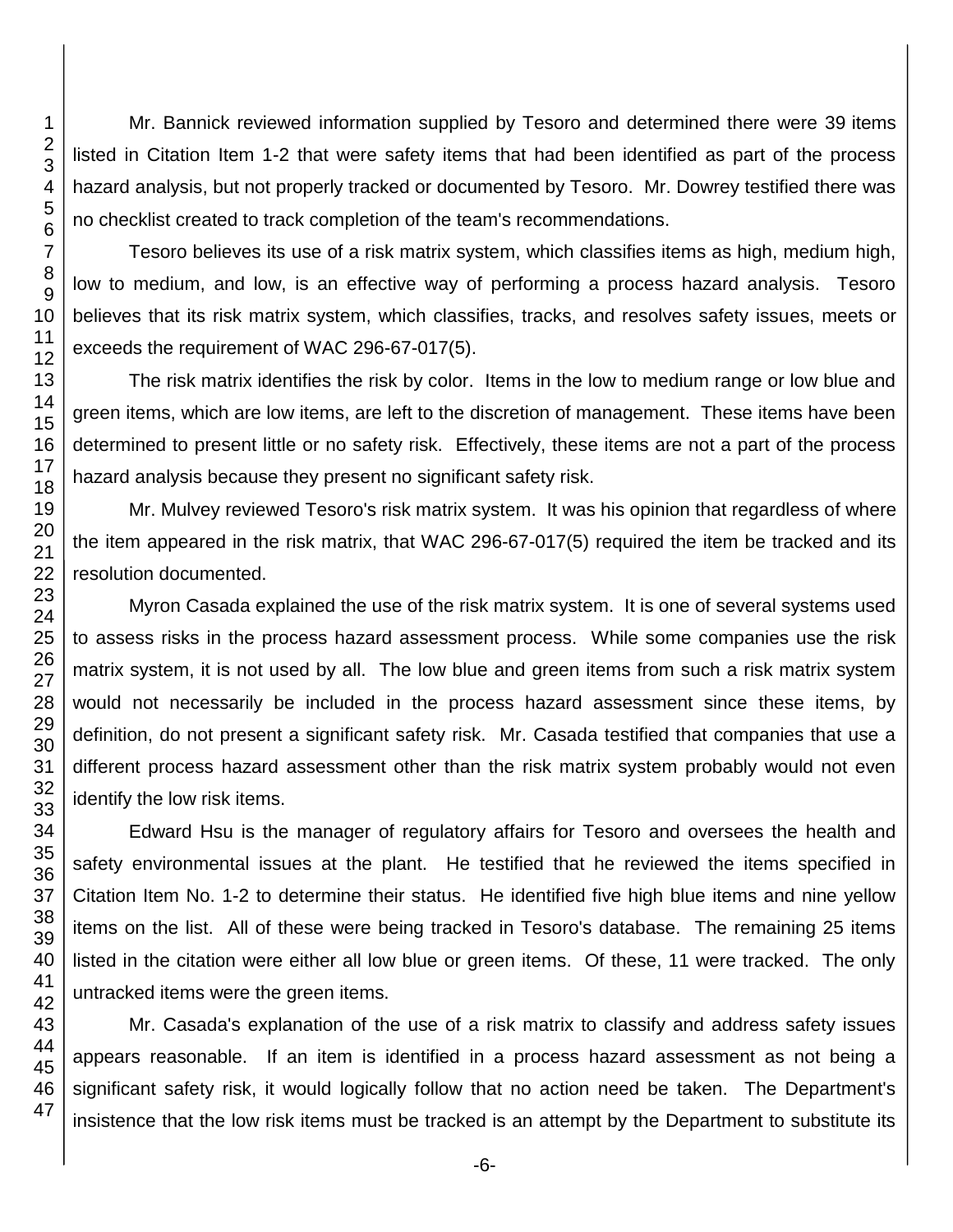Mr. Bannick reviewed information supplied by Tesoro and determined there were 39 items listed in Citation Item 1-2 that were safety items that had been identified as part of the process hazard analysis, but not properly tracked or documented by Tesoro. Mr. Dowrey testified there was no checklist created to track completion of the team's recommendations.

Tesoro believes its use of a risk matrix system, which classifies items as high, medium high, low to medium, and low, is an effective way of performing a process hazard analysis. Tesoro believes that its risk matrix system, which classifies, tracks, and resolves safety issues, meets or exceeds the requirement of WAC 296-67-017(5).

The risk matrix identifies the risk by color. Items in the low to medium range or low blue and green items, which are low items, are left to the discretion of management. These items have been determined to present little or no safety risk. Effectively, these items are not a part of the process hazard analysis because they present no significant safety risk.

Mr. Mulvey reviewed Tesoro's risk matrix system. It was his opinion that regardless of where the item appeared in the risk matrix, that WAC 296-67-017(5) required the item be tracked and its resolution documented.

Myron Casada explained the use of the risk matrix system. It is one of several systems used to assess risks in the process hazard assessment process. While some companies use the risk matrix system, it is not used by all. The low blue and green items from such a risk matrix system would not necessarily be included in the process hazard assessment since these items, by definition, do not present a significant safety risk. Mr. Casada testified that companies that use a different process hazard assessment other than the risk matrix system probably would not even identify the low risk items.

Edward Hsu is the manager of regulatory affairs for Tesoro and oversees the health and safety environmental issues at the plant. He testified that he reviewed the items specified in Citation Item No. 1-2 to determine their status. He identified five high blue items and nine yellow items on the list. All of these were being tracked in Tesoro's database. The remaining 25 items listed in the citation were either all low blue or green items. Of these, 11 were tracked. The only untracked items were the green items.

Mr. Casada's explanation of the use of a risk matrix to classify and address safety issues appears reasonable. If an item is identified in a process hazard assessment as not being a significant safety risk, it would logically follow that no action need be taken. The Department's insistence that the low risk items must be tracked is an attempt by the Department to substitute its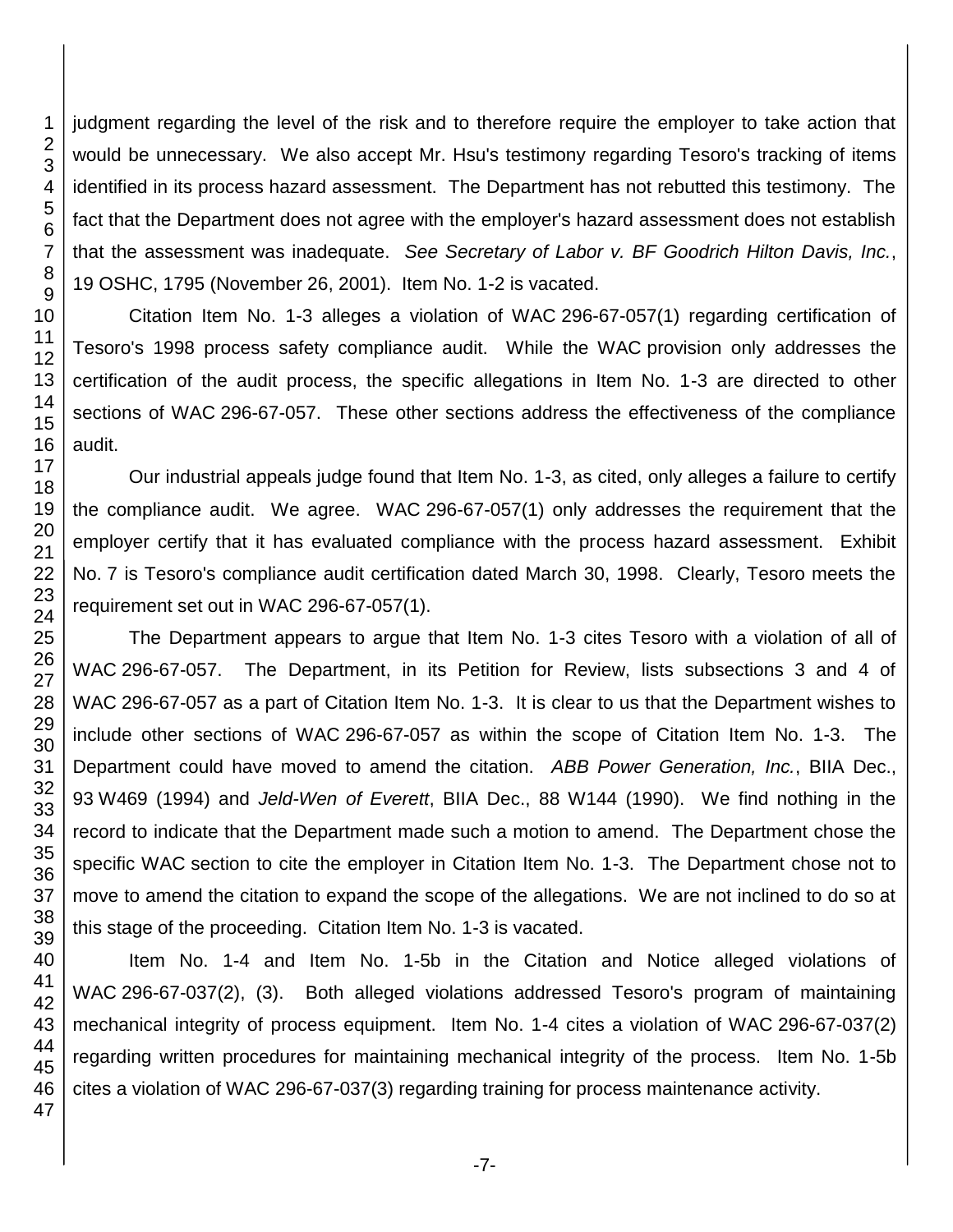judgment regarding the level of the risk and to therefore require the employer to take action that would be unnecessary. We also accept Mr. Hsu's testimony regarding Tesoro's tracking of items identified in its process hazard assessment. The Department has not rebutted this testimony. The fact that the Department does not agree with the employer's hazard assessment does not establish that the assessment was inadequate. *See Secretary of Labor v. BF Goodrich Hilton Davis, Inc.*, OSHC, 1795 (November 26, 2001). Item No. 1-2 is vacated.

Citation Item No. 1-3 alleges a violation of WAC 296-67-057(1) regarding certification of Tesoro's 1998 process safety compliance audit. While the WAC provision only addresses the certification of the audit process, the specific allegations in Item No. 1-3 are directed to other sections of WAC 296-67-057. These other sections address the effectiveness of the compliance audit.

Our industrial appeals judge found that Item No. 1-3, as cited, only alleges a failure to certify the compliance audit. We agree. WAC 296-67-057(1) only addresses the requirement that the employer certify that it has evaluated compliance with the process hazard assessment. Exhibit No. 7 is Tesoro's compliance audit certification dated March 30, 1998. Clearly, Tesoro meets the requirement set out in WAC 296-67-057(1).

The Department appears to argue that Item No. 1-3 cites Tesoro with a violation of all of WAC 296-67-057. The Department, in its Petition for Review, lists subsections 3 and 4 of WAC 296-67-057 as a part of Citation Item No. 1-3. It is clear to us that the Department wishes to include other sections of WAC 296-67-057 as within the scope of Citation Item No. 1-3. The Department could have moved to amend the citation. *ABB Power Generation, Inc.*, BIIA Dec., W469 (1994) and *Jeld-Wen of Everett*, BIIA Dec., 88 W144 (1990). We find nothing in the record to indicate that the Department made such a motion to amend. The Department chose the specific WAC section to cite the employer in Citation Item No. 1-3. The Department chose not to move to amend the citation to expand the scope of the allegations. We are not inclined to do so at this stage of the proceeding. Citation Item No. 1-3 is vacated.

Item No. 1-4 and Item No. 1-5b in the Citation and Notice alleged violations of WAC 296-67-037(2), (3). Both alleged violations addressed Tesoro's program of maintaining mechanical integrity of process equipment. Item No. 1-4 cites a violation of WAC 296-67-037(2) regarding written procedures for maintaining mechanical integrity of the process. Item No. 1-5b cites a violation of WAC 296-67-037(3) regarding training for process maintenance activity.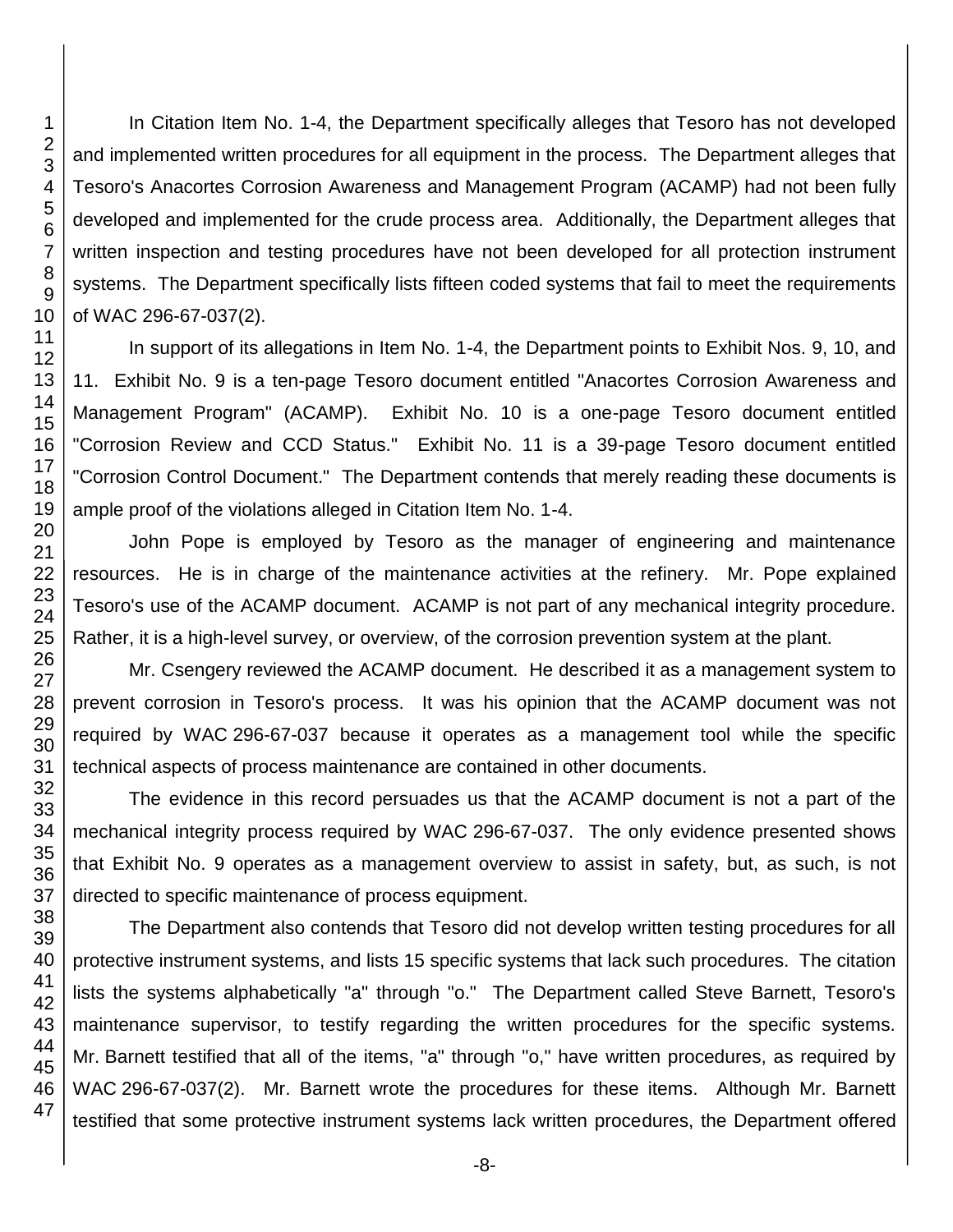In Citation Item No. 1-4, the Department specifically alleges that Tesoro has not developed and implemented written procedures for all equipment in the process. The Department alleges that Tesoro's Anacortes Corrosion Awareness and Management Program (ACAMP) had not been fully developed and implemented for the crude process area. Additionally, the Department alleges that written inspection and testing procedures have not been developed for all protection instrument systems. The Department specifically lists fifteen coded systems that fail to meet the requirements of WAC 296-67-037(2).

In support of its allegations in Item No. 1-4, the Department points to Exhibit Nos. 9, 10, and 11. Exhibit No. 9 is a ten-page Tesoro document entitled "Anacortes Corrosion Awareness and Management Program" (ACAMP). Exhibit No. 10 is a one-page Tesoro document entitled "Corrosion Review and CCD Status." Exhibit No. 11 is a 39-page Tesoro document entitled "Corrosion Control Document." The Department contends that merely reading these documents is ample proof of the violations alleged in Citation Item No. 1-4.

John Pope is employed by Tesoro as the manager of engineering and maintenance resources. He is in charge of the maintenance activities at the refinery. Mr. Pope explained Tesoro's use of the ACAMP document. ACAMP is not part of any mechanical integrity procedure. Rather, it is a high-level survey, or overview, of the corrosion prevention system at the plant.

Mr. Csengery reviewed the ACAMP document. He described it as a management system to prevent corrosion in Tesoro's process. It was his opinion that the ACAMP document was not required by WAC 296-67-037 because it operates as a management tool while the specific technical aspects of process maintenance are contained in other documents.

The evidence in this record persuades us that the ACAMP document is not a part of the mechanical integrity process required by WAC 296-67-037. The only evidence presented shows that Exhibit No. 9 operates as a management overview to assist in safety, but, as such, is not directed to specific maintenance of process equipment.

The Department also contends that Tesoro did not develop written testing procedures for all protective instrument systems, and lists 15 specific systems that lack such procedures. The citation lists the systems alphabetically "a" through "o." The Department called Steve Barnett, Tesoro's maintenance supervisor, to testify regarding the written procedures for the specific systems. Mr. Barnett testified that all of the items, "a" through "o," have written procedures, as required by WAC 296-67-037(2). Mr. Barnett wrote the procedures for these items. Although Mr. Barnett testified that some protective instrument systems lack written procedures, the Department offered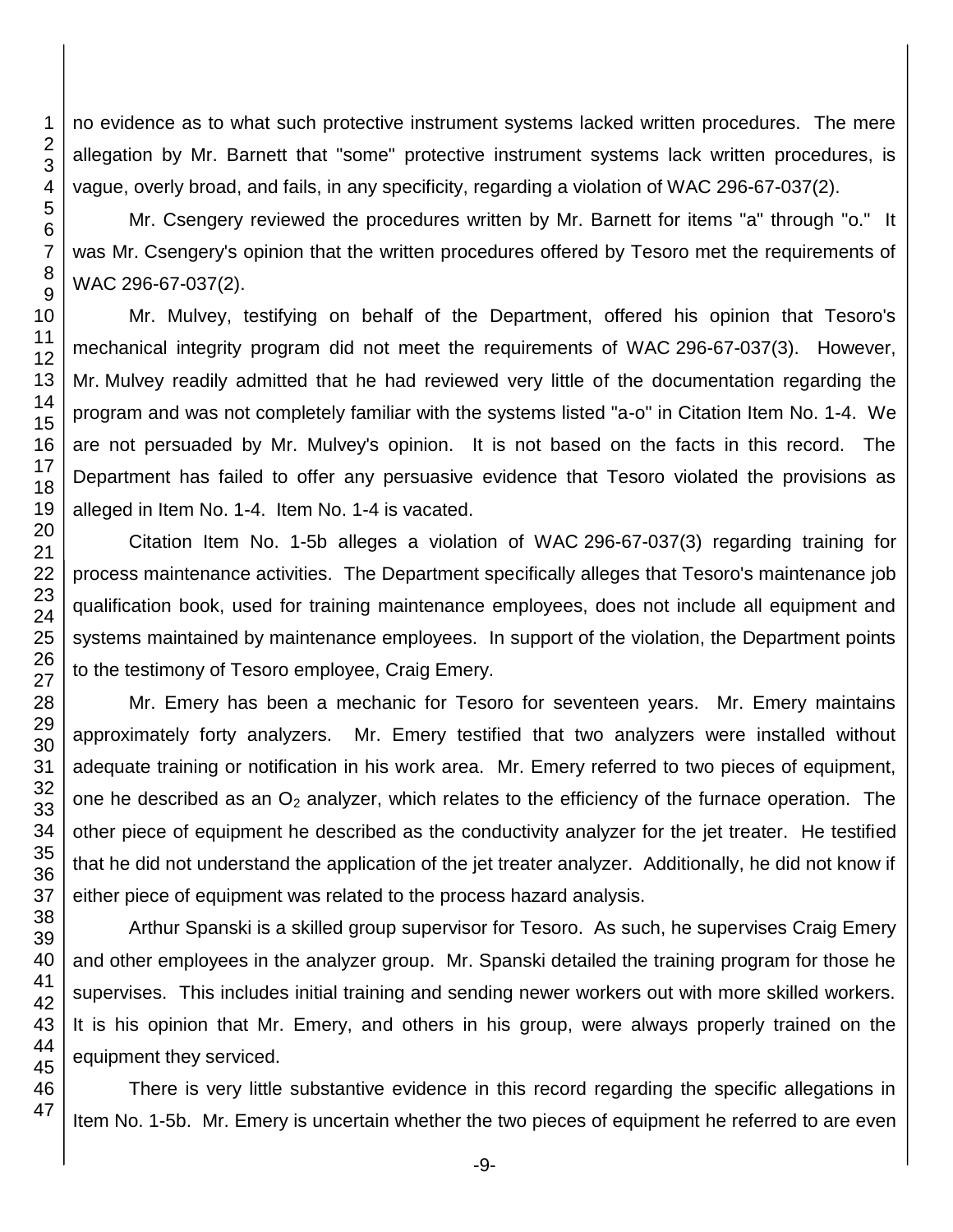no evidence as to what such protective instrument systems lacked written procedures. The mere allegation by Mr. Barnett that "some" protective instrument systems lack written procedures, is vague, overly broad, and fails, in any specificity, regarding a violation of WAC 296-67-037(2).

Mr. Csengery reviewed the procedures written by Mr. Barnett for items "a" through "o." It was Mr. Csengery's opinion that the written procedures offered by Tesoro met the requirements of WAC 296-67-037(2).

Mr. Mulvey, testifying on behalf of the Department, offered his opinion that Tesoro's mechanical integrity program did not meet the requirements of WAC 296-67-037(3). However, Mr. Mulvey readily admitted that he had reviewed very little of the documentation regarding the program and was not completely familiar with the systems listed "a-o" in Citation Item No. 1-4. We are not persuaded by Mr. Mulvey's opinion. It is not based on the facts in this record. The Department has failed to offer any persuasive evidence that Tesoro violated the provisions as alleged in Item No. 1-4. Item No. 1-4 is vacated.

Citation Item No. 1-5b alleges a violation of WAC 296-67-037(3) regarding training for process maintenance activities. The Department specifically alleges that Tesoro's maintenance job qualification book, used for training maintenance employees, does not include all equipment and systems maintained by maintenance employees. In support of the violation, the Department points to the testimony of Tesoro employee, Craig Emery.

Mr. Emery has been a mechanic for Tesoro for seventeen years. Mr. Emery maintains approximately forty analyzers. Mr. Emery testified that two analyzers were installed without adequate training or notification in his work area. Mr. Emery referred to two pieces of equipment, one he described as an  $O_2$  analyzer, which relates to the efficiency of the furnace operation. The other piece of equipment he described as the conductivity analyzer for the jet treater. He testified that he did not understand the application of the jet treater analyzer. Additionally, he did not know if either piece of equipment was related to the process hazard analysis.

Arthur Spanski is a skilled group supervisor for Tesoro. As such, he supervises Craig Emery and other employees in the analyzer group. Mr. Spanski detailed the training program for those he supervises. This includes initial training and sending newer workers out with more skilled workers. It is his opinion that Mr. Emery, and others in his group, were always properly trained on the equipment they serviced.

There is very little substantive evidence in this record regarding the specific allegations in Item No. 1-5b. Mr. Emery is uncertain whether the two pieces of equipment he referred to are even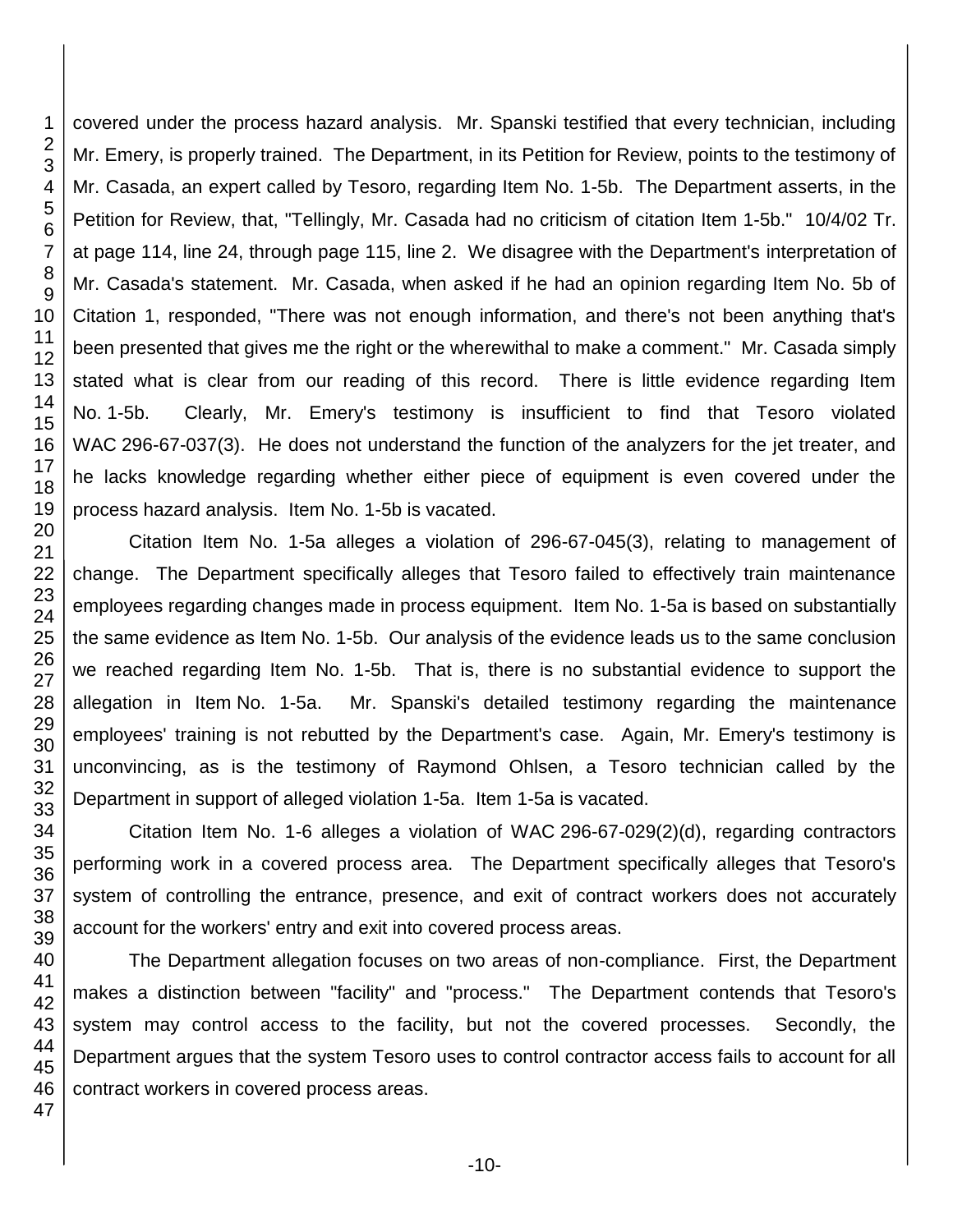covered under the process hazard analysis. Mr. Spanski testified that every technician, including Mr. Emery, is properly trained. The Department, in its Petition for Review, points to the testimony of Mr. Casada, an expert called by Tesoro, regarding Item No. 1-5b. The Department asserts, in the Petition for Review, that, "Tellingly, Mr. Casada had no criticism of citation Item 1-5b." 10/4/02 Tr. at page 114, line 24, through page 115, line 2. We disagree with the Department's interpretation of Mr. Casada's statement. Mr. Casada, when asked if he had an opinion regarding Item No. 5b of Citation 1, responded, "There was not enough information, and there's not been anything that's been presented that gives me the right or the wherewithal to make a comment." Mr. Casada simply stated what is clear from our reading of this record. There is little evidence regarding Item No. 1-5b. Clearly, Mr. Emery's testimony is insufficient to find that Tesoro violated WAC 296-67-037(3). He does not understand the function of the analyzers for the jet treater, and he lacks knowledge regarding whether either piece of equipment is even covered under the process hazard analysis. Item No. 1-5b is vacated.

Citation Item No. 1-5a alleges a violation of 296-67-045(3), relating to management of change. The Department specifically alleges that Tesoro failed to effectively train maintenance employees regarding changes made in process equipment. Item No. 1-5a is based on substantially the same evidence as Item No. 1-5b. Our analysis of the evidence leads us to the same conclusion we reached regarding Item No. 1-5b. That is, there is no substantial evidence to support the allegation in Item No. 1-5a. Mr. Spanski's detailed testimony regarding the maintenance employees' training is not rebutted by the Department's case. Again, Mr. Emery's testimony is unconvincing, as is the testimony of Raymond Ohlsen, a Tesoro technician called by the Department in support of alleged violation 1-5a. Item 1-5a is vacated.

Citation Item No. 1-6 alleges a violation of WAC 296-67-029(2)(d), regarding contractors performing work in a covered process area. The Department specifically alleges that Tesoro's system of controlling the entrance, presence, and exit of contract workers does not accurately account for the workers' entry and exit into covered process areas.

The Department allegation focuses on two areas of non-compliance. First, the Department makes a distinction between "facility" and "process." The Department contends that Tesoro's system may control access to the facility, but not the covered processes. Secondly, the Department argues that the system Tesoro uses to control contractor access fails to account for all contract workers in covered process areas.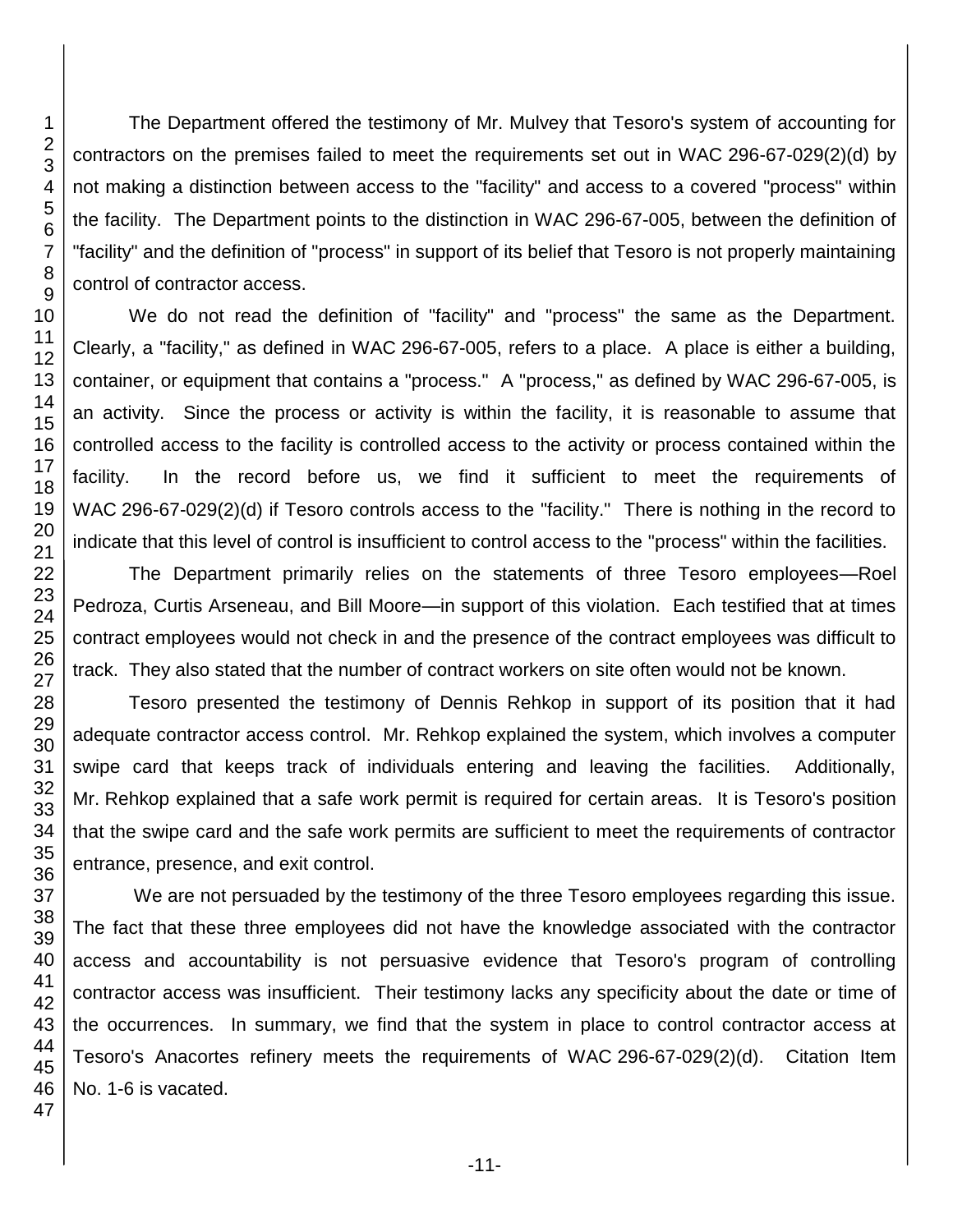The Department offered the testimony of Mr. Mulvey that Tesoro's system of accounting for contractors on the premises failed to meet the requirements set out in WAC 296-67-029(2)(d) by not making a distinction between access to the "facility" and access to a covered "process" within the facility. The Department points to the distinction in WAC 296-67-005, between the definition of "facility" and the definition of "process" in support of its belief that Tesoro is not properly maintaining control of contractor access.

We do not read the definition of "facility" and "process" the same as the Department. Clearly, a "facility," as defined in WAC 296-67-005, refers to a place. A place is either a building, container, or equipment that contains a "process." A "process," as defined by WAC 296-67-005, is an activity. Since the process or activity is within the facility, it is reasonable to assume that controlled access to the facility is controlled access to the activity or process contained within the facility. In the record before us, we find it sufficient to meet the requirements of WAC 296-67-029(2)(d) if Tesoro controls access to the "facility." There is nothing in the record to indicate that this level of control is insufficient to control access to the "process" within the facilities.

The Department primarily relies on the statements of three Tesoro employees—Roel Pedroza, Curtis Arseneau, and Bill Moore—in support of this violation. Each testified that at times contract employees would not check in and the presence of the contract employees was difficult to track. They also stated that the number of contract workers on site often would not be known.

Tesoro presented the testimony of Dennis Rehkop in support of its position that it had adequate contractor access control. Mr. Rehkop explained the system, which involves a computer swipe card that keeps track of individuals entering and leaving the facilities. Additionally, Mr. Rehkop explained that a safe work permit is required for certain areas. It is Tesoro's position that the swipe card and the safe work permits are sufficient to meet the requirements of contractor entrance, presence, and exit control.

We are not persuaded by the testimony of the three Tesoro employees regarding this issue. The fact that these three employees did not have the knowledge associated with the contractor access and accountability is not persuasive evidence that Tesoro's program of controlling contractor access was insufficient. Their testimony lacks any specificity about the date or time of the occurrences. In summary, we find that the system in place to control contractor access at Tesoro's Anacortes refinery meets the requirements of WAC 296-67-029(2)(d). Citation Item No. 1-6 is vacated.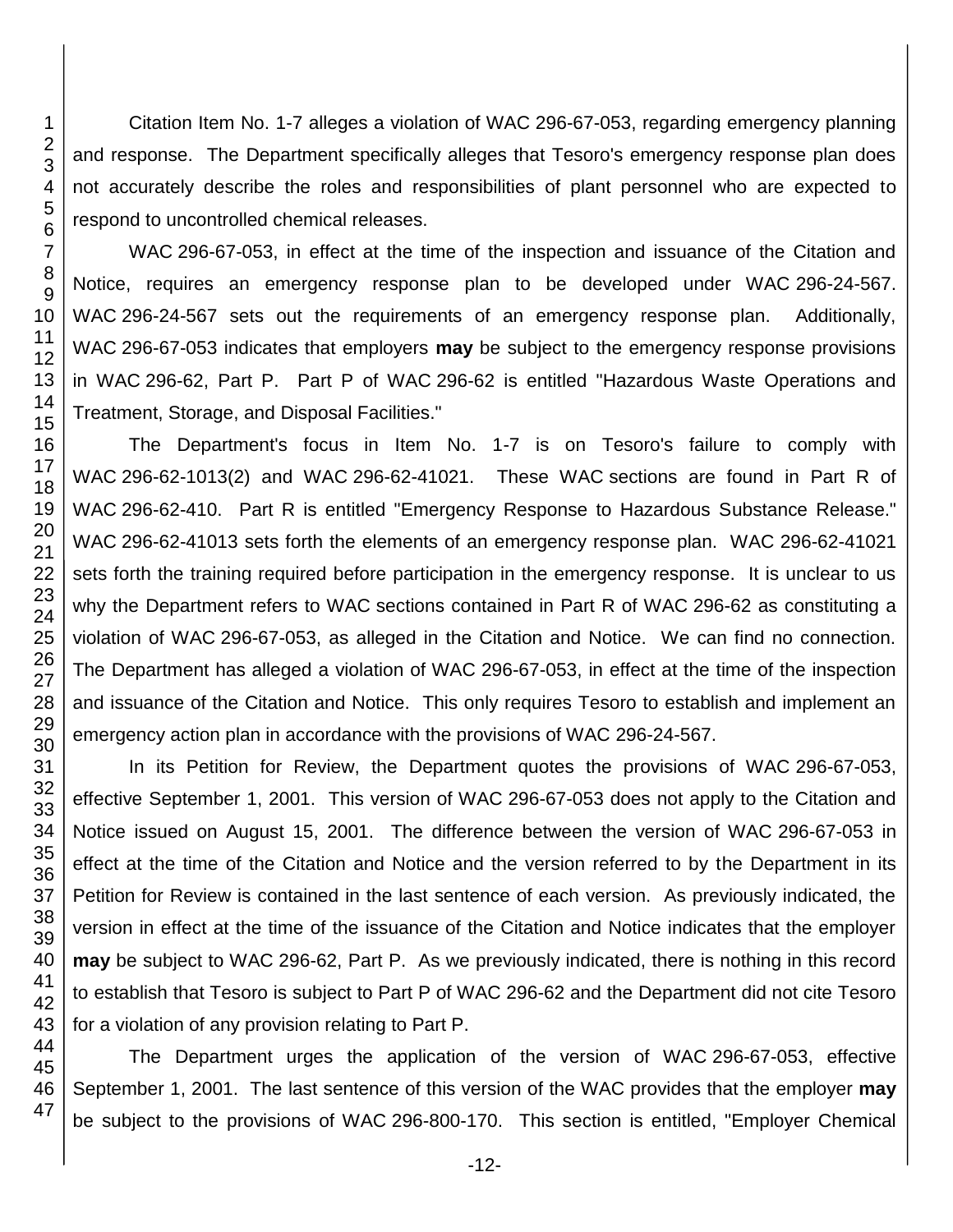Citation Item No. 1-7 alleges a violation of WAC 296-67-053, regarding emergency planning and response. The Department specifically alleges that Tesoro's emergency response plan does not accurately describe the roles and responsibilities of plant personnel who are expected to respond to uncontrolled chemical releases.

WAC 296-67-053, in effect at the time of the inspection and issuance of the Citation and Notice, requires an emergency response plan to be developed under WAC 296-24-567. WAC 296-24-567 sets out the requirements of an emergency response plan. Additionally, WAC 296-67-053 indicates that employers **may** be subject to the emergency response provisions in WAC 296-62, Part P. Part P of WAC 296-62 is entitled "Hazardous Waste Operations and Treatment, Storage, and Disposal Facilities."

The Department's focus in Item No. 1-7 is on Tesoro's failure to comply with WAC 296-62-1013(2) and WAC 296-62-41021. These WAC sections are found in Part R of WAC 296-62-410. Part R is entitled "Emergency Response to Hazardous Substance Release." WAC 296-62-41013 sets forth the elements of an emergency response plan. WAC 296-62-41021 sets forth the training required before participation in the emergency response. It is unclear to us why the Department refers to WAC sections contained in Part R of WAC 296-62 as constituting a violation of WAC 296-67-053, as alleged in the Citation and Notice. We can find no connection. The Department has alleged a violation of WAC 296-67-053, in effect at the time of the inspection and issuance of the Citation and Notice. This only requires Tesoro to establish and implement an emergency action plan in accordance with the provisions of WAC 296-24-567.

In its Petition for Review, the Department quotes the provisions of WAC 296-67-053, effective September 1, 2001. This version of WAC 296-67-053 does not apply to the Citation and Notice issued on August 15, 2001. The difference between the version of WAC 296-67-053 in effect at the time of the Citation and Notice and the version referred to by the Department in its Petition for Review is contained in the last sentence of each version. As previously indicated, the version in effect at the time of the issuance of the Citation and Notice indicates that the employer **may** be subject to WAC 296-62, Part P. As we previously indicated, there is nothing in this record to establish that Tesoro is subject to Part P of WAC 296-62 and the Department did not cite Tesoro for a violation of any provision relating to Part P.

The Department urges the application of the version of WAC 296-67-053, effective September 1, 2001. The last sentence of this version of the WAC provides that the employer **may**  be subject to the provisions of WAC 296-800-170. This section is entitled, "Employer Chemical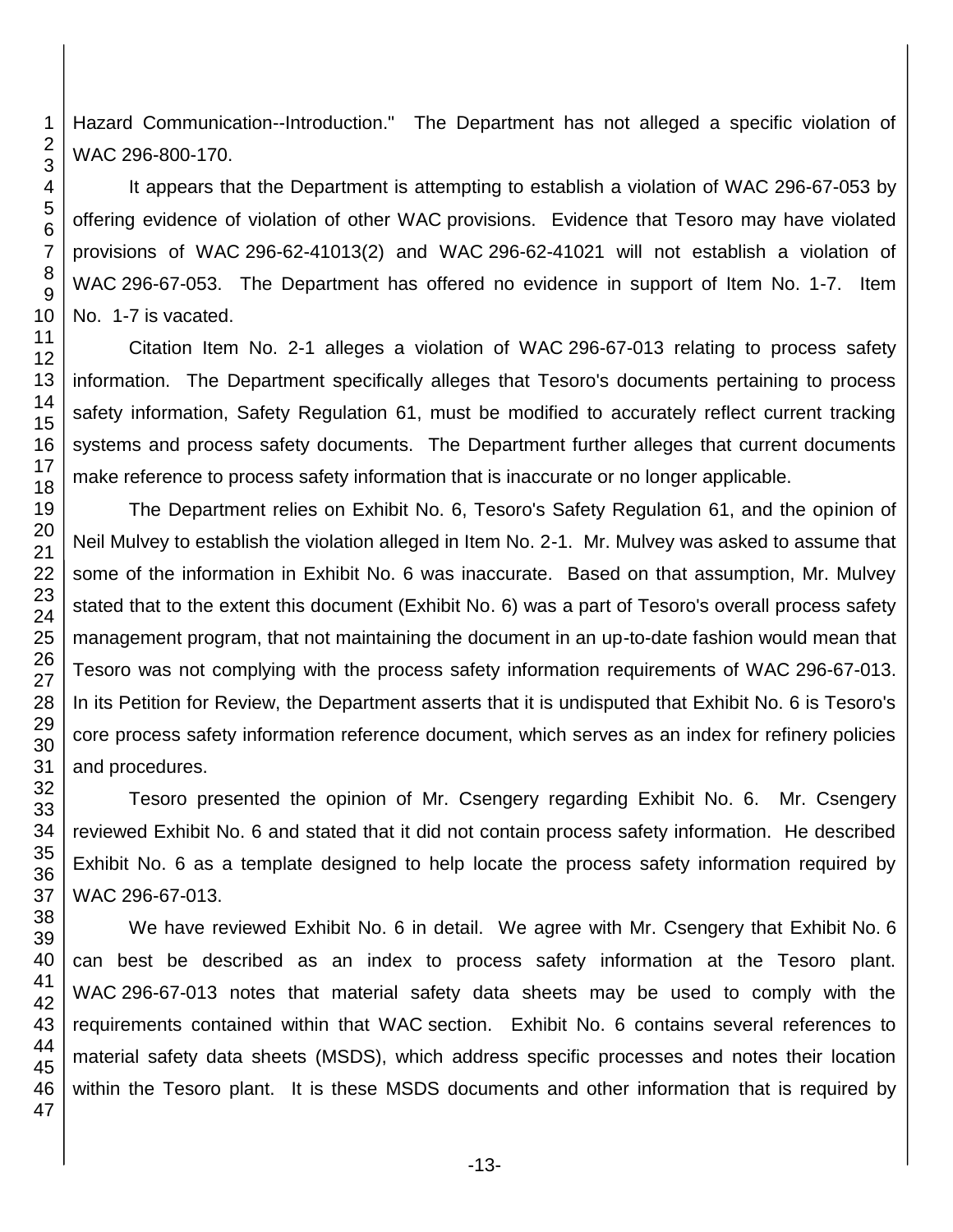Hazard Communication--Introduction." The Department has not alleged a specific violation of WAC 296-800-170.

It appears that the Department is attempting to establish a violation of WAC 296-67-053 by offering evidence of violation of other WAC provisions. Evidence that Tesoro may have violated provisions of WAC 296-62-41013(2) and WAC 296-62-41021 will not establish a violation of WAC 296-67-053. The Department has offered no evidence in support of Item No. 1-7. Item No. 1-7 is vacated.

Citation Item No. 2-1 alleges a violation of WAC 296-67-013 relating to process safety information. The Department specifically alleges that Tesoro's documents pertaining to process safety information, Safety Regulation 61, must be modified to accurately reflect current tracking systems and process safety documents. The Department further alleges that current documents make reference to process safety information that is inaccurate or no longer applicable.

The Department relies on Exhibit No. 6, Tesoro's Safety Regulation 61, and the opinion of Neil Mulvey to establish the violation alleged in Item No. 2-1. Mr. Mulvey was asked to assume that some of the information in Exhibit No. 6 was inaccurate. Based on that assumption, Mr. Mulvey stated that to the extent this document (Exhibit No. 6) was a part of Tesoro's overall process safety management program, that not maintaining the document in an up-to-date fashion would mean that Tesoro was not complying with the process safety information requirements of WAC 296-67-013. In its Petition for Review, the Department asserts that it is undisputed that Exhibit No. 6 is Tesoro's core process safety information reference document, which serves as an index for refinery policies and procedures.

Tesoro presented the opinion of Mr. Csengery regarding Exhibit No. 6. Mr. Csengery reviewed Exhibit No. 6 and stated that it did not contain process safety information. He described Exhibit No. 6 as a template designed to help locate the process safety information required by WAC 296-67-013.

We have reviewed Exhibit No. 6 in detail. We agree with Mr. Csengery that Exhibit No. 6 can best be described as an index to process safety information at the Tesoro plant. WAC 296-67-013 notes that material safety data sheets may be used to comply with the requirements contained within that WAC section. Exhibit No. 6 contains several references to material safety data sheets (MSDS), which address specific processes and notes their location within the Tesoro plant. It is these MSDS documents and other information that is required by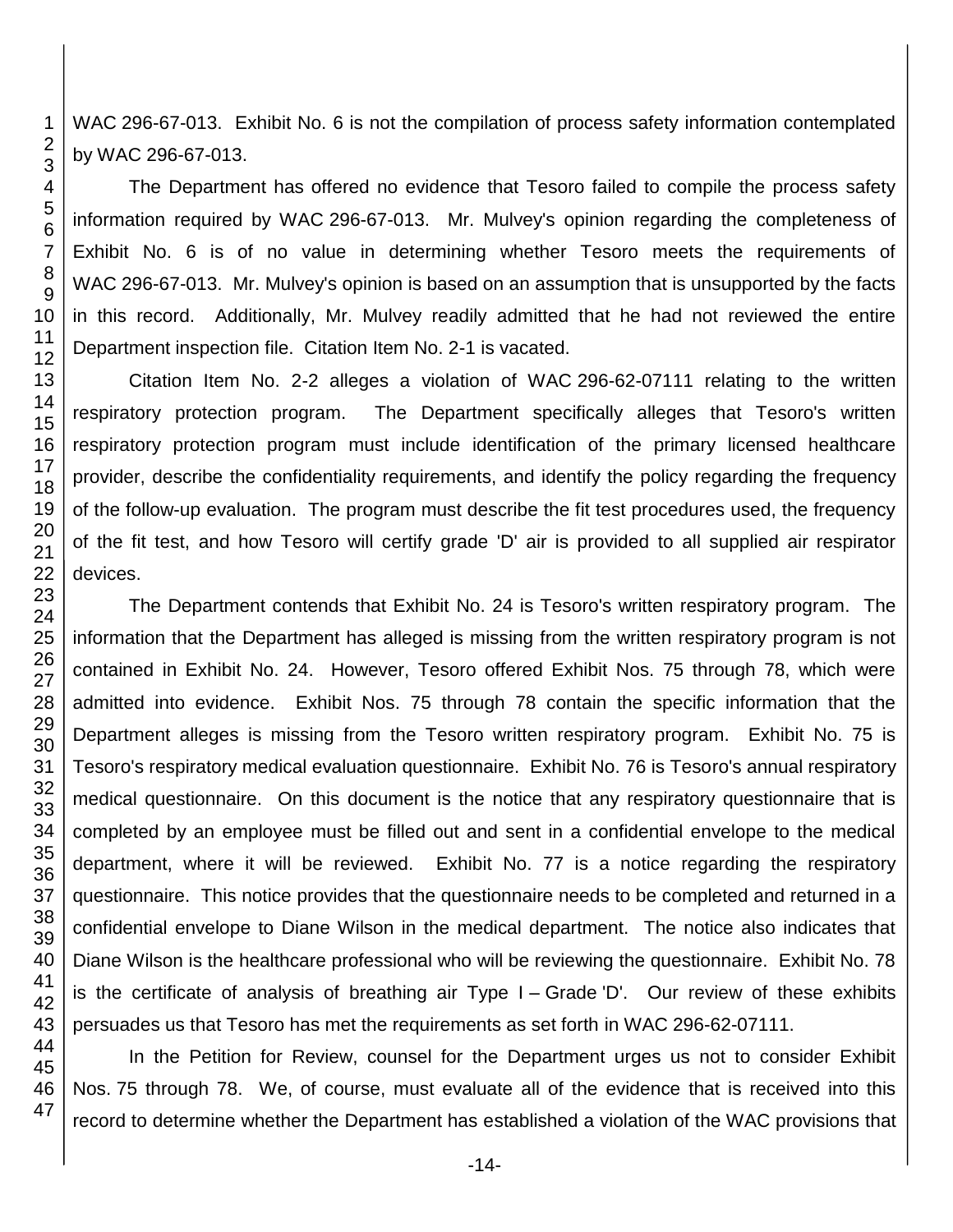WAC 296-67-013. Exhibit No. 6 is not the compilation of process safety information contemplated by WAC 296-67-013.

The Department has offered no evidence that Tesoro failed to compile the process safety information required by WAC 296-67-013. Mr. Mulvey's opinion regarding the completeness of Exhibit No. 6 is of no value in determining whether Tesoro meets the requirements of WAC 296-67-013. Mr. Mulvey's opinion is based on an assumption that is unsupported by the facts in this record. Additionally, Mr. Mulvey readily admitted that he had not reviewed the entire Department inspection file. Citation Item No. 2-1 is vacated.

Citation Item No. 2-2 alleges a violation of WAC 296-62-07111 relating to the written respiratory protection program. The Department specifically alleges that Tesoro's written respiratory protection program must include identification of the primary licensed healthcare provider, describe the confidentiality requirements, and identify the policy regarding the frequency of the follow-up evaluation. The program must describe the fit test procedures used, the frequency of the fit test, and how Tesoro will certify grade 'D' air is provided to all supplied air respirator devices.

The Department contends that Exhibit No. 24 is Tesoro's written respiratory program. The information that the Department has alleged is missing from the written respiratory program is not contained in Exhibit No. 24. However, Tesoro offered Exhibit Nos. 75 through 78, which were admitted into evidence. Exhibit Nos. 75 through 78 contain the specific information that the Department alleges is missing from the Tesoro written respiratory program. Exhibit No. 75 is Tesoro's respiratory medical evaluation questionnaire. Exhibit No. 76 is Tesoro's annual respiratory medical questionnaire. On this document is the notice that any respiratory questionnaire that is completed by an employee must be filled out and sent in a confidential envelope to the medical department, where it will be reviewed. Exhibit No. 77 is a notice regarding the respiratory questionnaire. This notice provides that the questionnaire needs to be completed and returned in a confidential envelope to Diane Wilson in the medical department. The notice also indicates that Diane Wilson is the healthcare professional who will be reviewing the questionnaire. Exhibit No. 78 is the certificate of analysis of breathing air Type I – Grade 'D'. Our review of these exhibits persuades us that Tesoro has met the requirements as set forth in WAC 296-62-07111.

In the Petition for Review, counsel for the Department urges us not to consider Exhibit Nos. 75 through 78. We, of course, must evaluate all of the evidence that is received into this record to determine whether the Department has established a violation of the WAC provisions that

47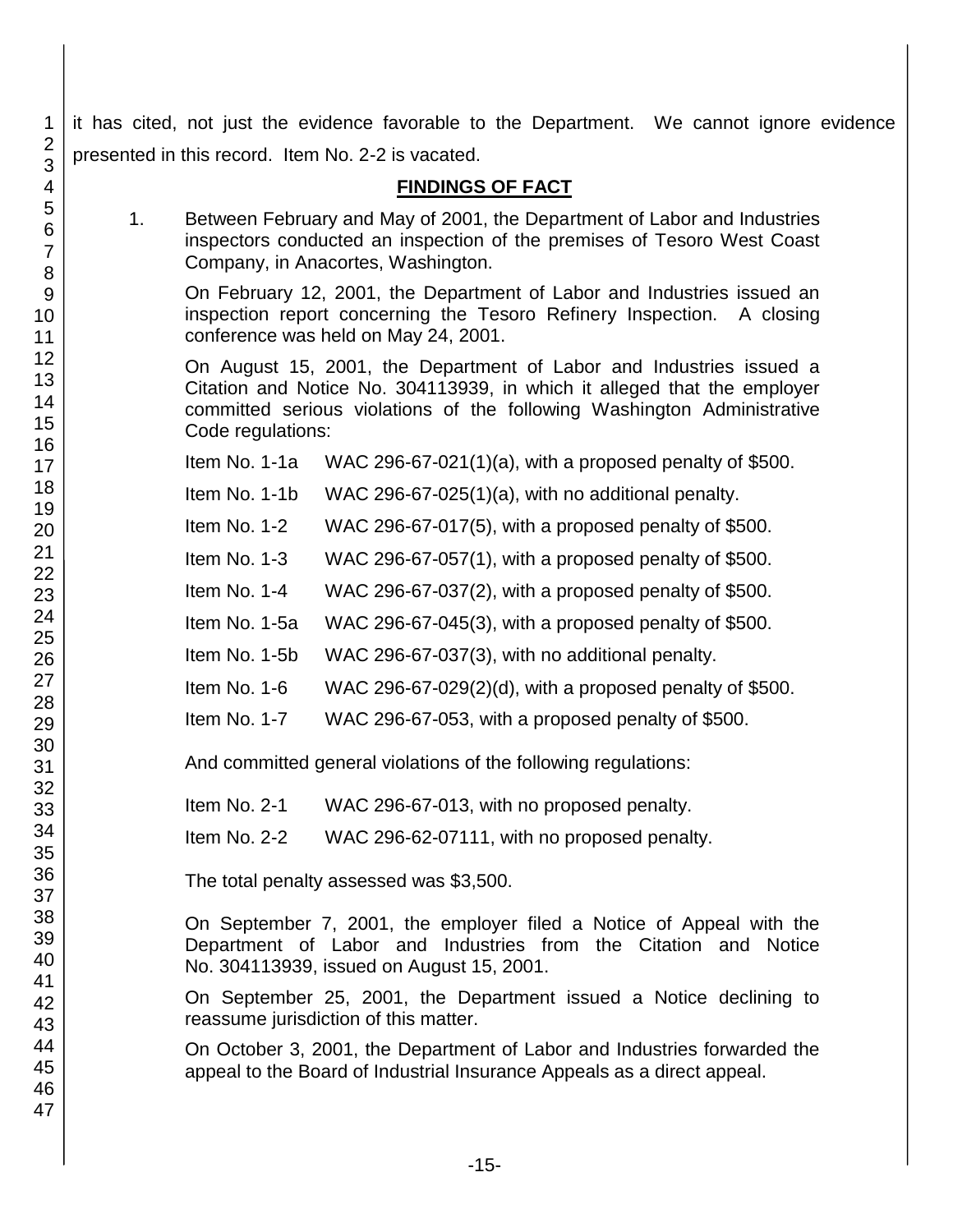it has cited, not just the evidence favorable to the Department. We cannot ignore evidence presented in this record. Item No. 2-2 is vacated.

### **FINDINGS OF FACT**

1. Between February and May of 2001, the Department of Labor and Industries inspectors conducted an inspection of the premises of Tesoro West Coast Company, in Anacortes, Washington.

On February 12, 2001, the Department of Labor and Industries issued an inspection report concerning the Tesoro Refinery Inspection. A closing conference was held on May 24, 2001.

On August 15, 2001, the Department of Labor and Industries issued a Citation and Notice No. 304113939, in which it alleged that the employer committed serious violations of the following Washington Administrative Code regulations:

Item No. 1-1a WAC 296-67-021(1)(a), with a proposed penalty of \$500.

Item No. 1-1b WAC 296-67-025(1)(a), with no additional penalty.

Item No. 1-2 WAC 296-67-017(5), with a proposed penalty of \$500.

Item No. 1-3 WAC 296-67-057(1), with a proposed penalty of \$500.

Item No. 1-4 WAC 296-67-037(2), with a proposed penalty of \$500.

Item No. 1-5a WAC 296-67-045(3), with a proposed penalty of \$500.

Item No. 1-5b WAC 296-67-037(3), with no additional penalty.

Item No. 1-6 WAC 296-67-029 $(2)(d)$ , with a proposed penalty of \$500.

Item No. 1-7 WAC 296-67-053, with a proposed penalty of \$500.

And committed general violations of the following regulations:

Item No. 2-1 WAC 296-67-013, with no proposed penalty.

Item No. 2-2 WAC 296-62-07111, with no proposed penalty.

The total penalty assessed was \$3,500.

On September 7, 2001, the employer filed a Notice of Appeal with the Department of Labor and Industries from the Citation and Notice No. 304113939, issued on August 15, 2001.

On September 25, 2001, the Department issued a Notice declining to reassume jurisdiction of this matter.

On October 3, 2001, the Department of Labor and Industries forwarded the appeal to the Board of Industrial Insurance Appeals as a direct appeal.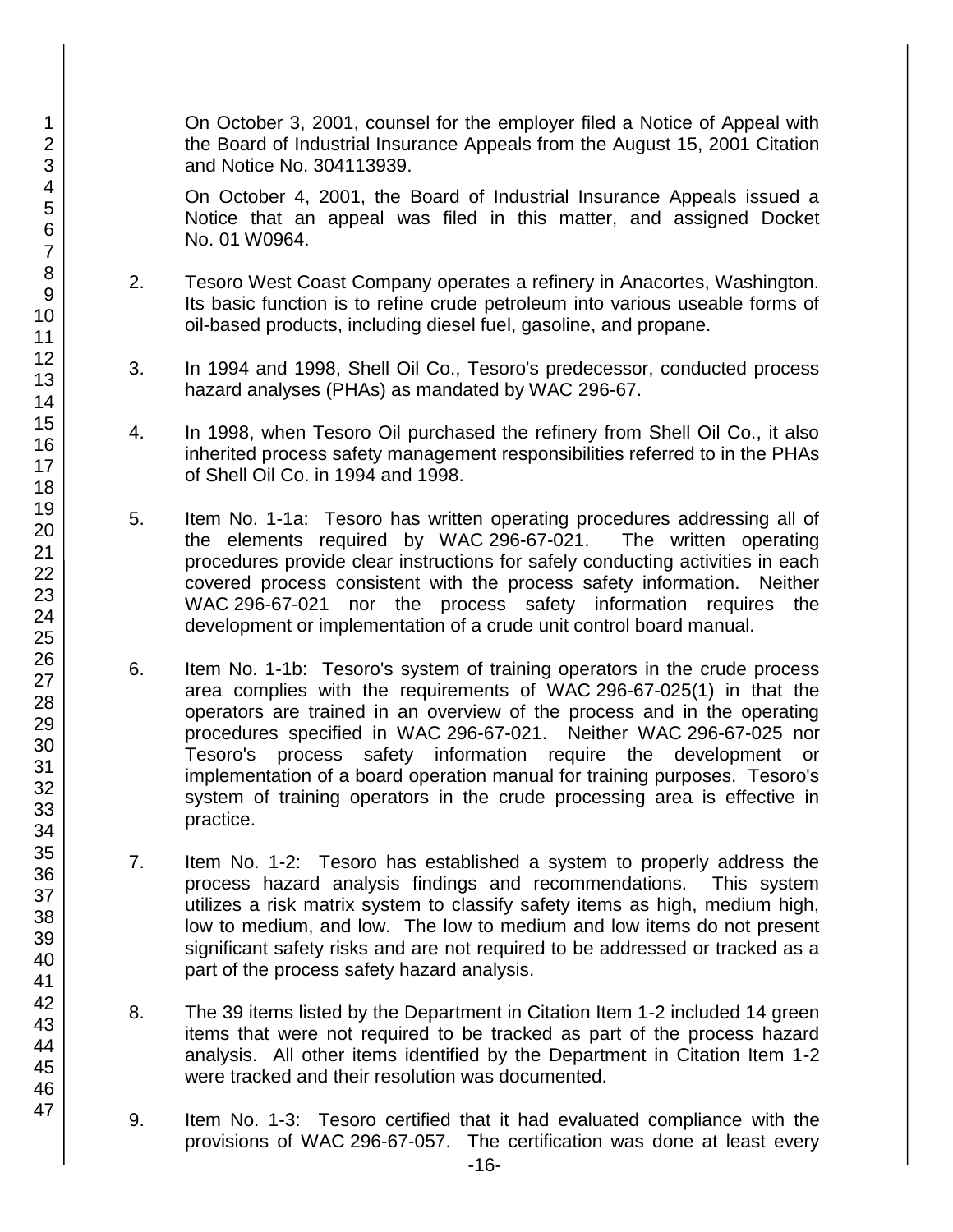On October 3, 2001, counsel for the employer filed a Notice of Appeal with the Board of Industrial Insurance Appeals from the August 15, 2001 Citation and Notice No. 304113939.

On October 4, 2001, the Board of Industrial Insurance Appeals issued a Notice that an appeal was filed in this matter, and assigned Docket No. 01 W0964.

- 2. Tesoro West Coast Company operates a refinery in Anacortes, Washington. Its basic function is to refine crude petroleum into various useable forms of oil-based products, including diesel fuel, gasoline, and propane.
- 3. In 1994 and 1998, Shell Oil Co., Tesoro's predecessor, conducted process hazard analyses (PHAs) as mandated by WAC 296-67.
- 4. In 1998, when Tesoro Oil purchased the refinery from Shell Oil Co., it also inherited process safety management responsibilities referred to in the PHAs of Shell Oil Co. in 1994 and 1998.
- 5. Item No. 1-1a: Tesoro has written operating procedures addressing all of the elements required by WAC 296-67-021. The written operating procedures provide clear instructions for safely conducting activities in each covered process consistent with the process safety information. Neither WAC 296-67-021 nor the process safety information requires the development or implementation of a crude unit control board manual.
- 6. Item No. 1-1b: Tesoro's system of training operators in the crude process area complies with the requirements of WAC 296-67-025(1) in that the operators are trained in an overview of the process and in the operating procedures specified in WAC 296-67-021. Neither WAC 296-67-025 nor Tesoro's process safety information require the development or implementation of a board operation manual for training purposes. Tesoro's system of training operators in the crude processing area is effective in practice.
- 7. Item No. 1-2: Tesoro has established a system to properly address the process hazard analysis findings and recommendations. This system utilizes a risk matrix system to classify safety items as high, medium high, low to medium, and low. The low to medium and low items do not present significant safety risks and are not required to be addressed or tracked as a part of the process safety hazard analysis.
- 8. The 39 items listed by the Department in Citation Item 1-2 included 14 green items that were not required to be tracked as part of the process hazard analysis. All other items identified by the Department in Citation Item 1-2 were tracked and their resolution was documented.
- 9. Item No. 1-3:Tesoro certified that it had evaluated compliance with the provisions of WAC 296-67-057. The certification was done at least every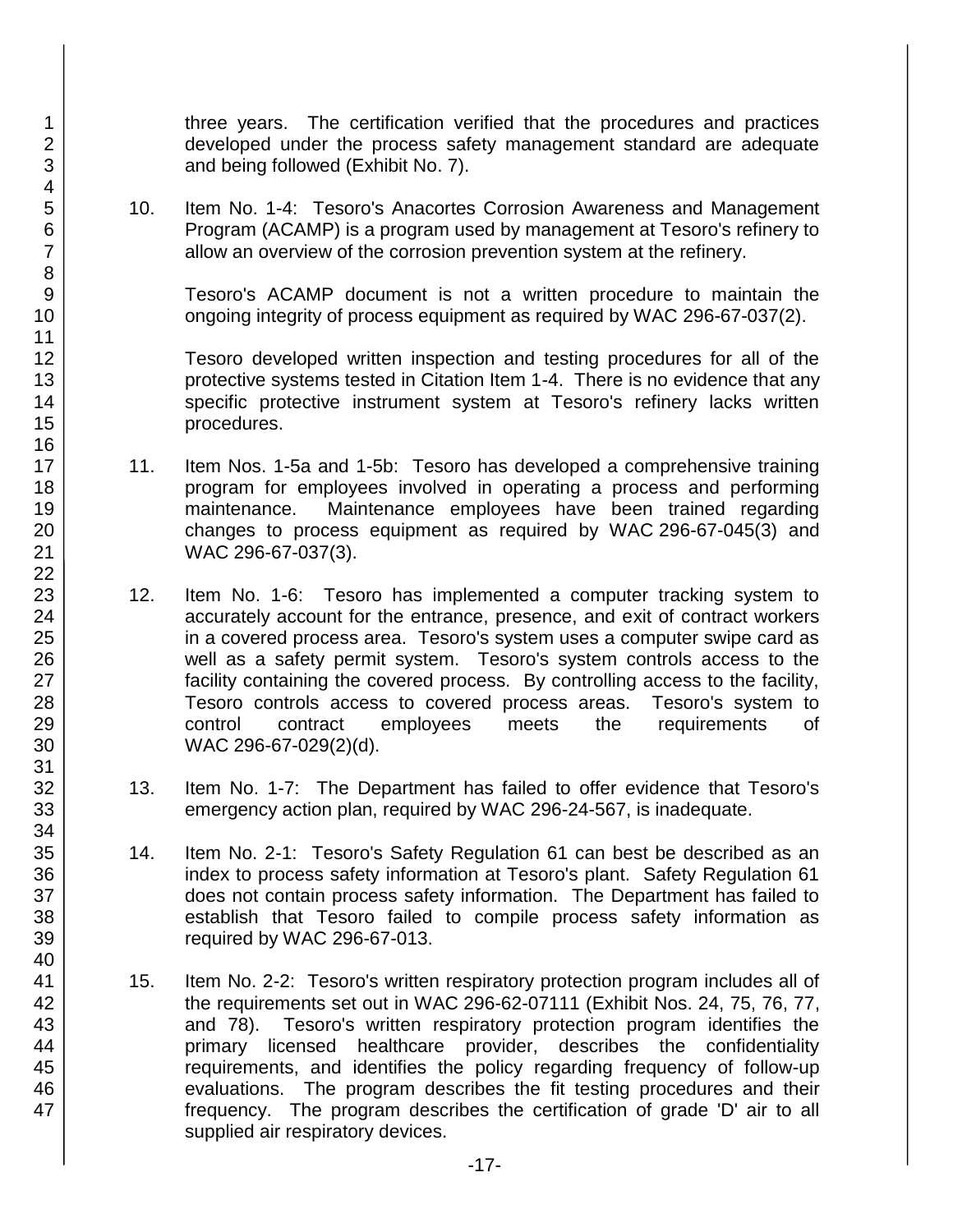three years. The certification verified that the procedures and practices developed under the process safety management standard are adequate and being followed (Exhibit No. 7).

10. Item No. 1-4:Tesoro's Anacortes Corrosion Awareness and Management Program (ACAMP) is a program used by management at Tesoro's refinery to allow an overview of the corrosion prevention system at the refinery.

Tesoro's ACAMP document is not a written procedure to maintain the ongoing integrity of process equipment as required by WAC 296-67-037(2).

Tesoro developed written inspection and testing procedures for all of the protective systems tested in Citation Item 1-4. There is no evidence that any specific protective instrument system at Tesoro's refinery lacks written procedures.

- 11. Item Nos. 1-5a and 1-5b:Tesoro has developed a comprehensive training program for employees involved in operating a process and performing maintenance. Maintenance employees have been trained regarding changes to process equipment as required by WAC 296-67-045(3) and WAC 296-67-037(3).
- 12. Item No. 1-6:Tesoro has implemented a computer tracking system to accurately account for the entrance, presence, and exit of contract workers in a covered process area. Tesoro's system uses a computer swipe card as well as a safety permit system. Tesoro's system controls access to the facility containing the covered process. By controlling access to the facility, Tesoro controls access to covered process areas. Tesoro's system to control contract employees meets the requirements of WAC 296-67-029(2)(d).
- 13. Item No. 1-7:The Department has failed to offer evidence that Tesoro's emergency action plan, required by WAC 296-24-567, is inadequate.
- 14. Item No. 2-1:Tesoro's Safety Regulation 61 can best be described as an index to process safety information at Tesoro's plant. Safety Regulation 61 does not contain process safety information. The Department has failed to establish that Tesoro failed to compile process safety information as required by WAC 296-67-013.
- 15. Item No. 2-2:Tesoro's written respiratory protection program includes all of the requirements set out in WAC 296-62-07111 (Exhibit Nos. 24, 75, 76, 77, and 78). Tesoro's written respiratory protection program identifies the primary licensed healthcare provider, describes the confidentiality requirements, and identifies the policy regarding frequency of follow-up evaluations. The program describes the fit testing procedures and their frequency. The program describes the certification of grade 'D' air to all supplied air respiratory devices.